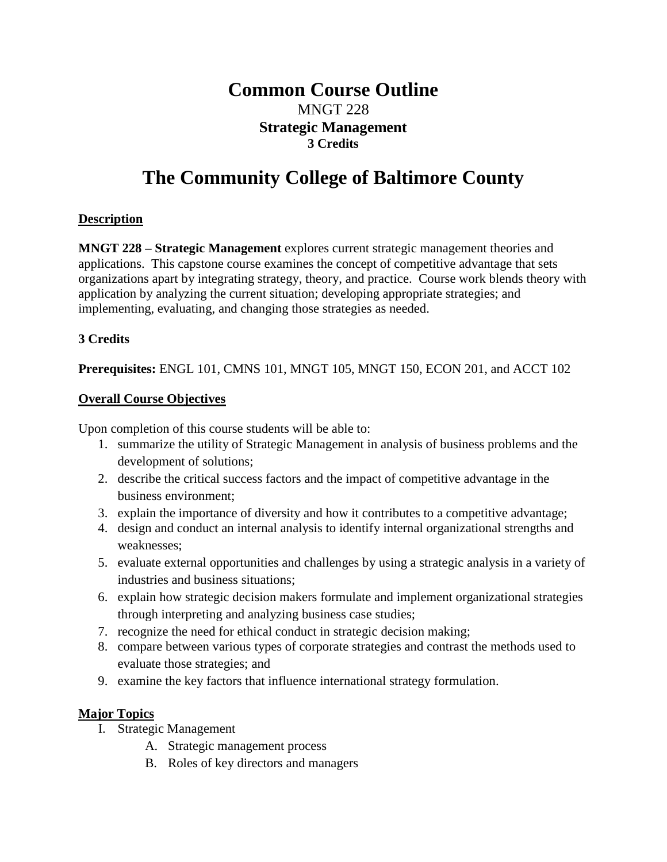# **Common Course Outline** MNGT 228 **Strategic Management 3 Credits**

# **The Community College of Baltimore County**

## **Description**

**MNGT 228 – Strategic Management** explores current strategic management theories and applications. This capstone course examines the concept of competitive advantage that sets organizations apart by integrating strategy, theory, and practice. Course work blends theory with application by analyzing the current situation; developing appropriate strategies; and implementing, evaluating, and changing those strategies as needed.

## **3 Credits**

**Prerequisites:** ENGL 101, CMNS 101, MNGT 105, MNGT 150, ECON 201, and ACCT 102

## **Overall Course Objectives**

Upon completion of this course students will be able to:

- 1. summarize the utility of Strategic Management in analysis of business problems and the development of solutions;
- 2. describe the critical success factors and the impact of competitive advantage in the business environment;
- 3. explain the importance of diversity and how it contributes to a competitive advantage;
- 4. design and conduct an internal analysis to identify internal organizational strengths and weaknesses;
- 5. evaluate external opportunities and challenges by using a strategic analysis in a variety of industries and business situations;
- 6. explain how strategic decision makers formulate and implement organizational strategies through interpreting and analyzing business case studies;
- 7. recognize the need for ethical conduct in strategic decision making;
- 8. compare between various types of corporate strategies and contrast the methods used to evaluate those strategies; and
- 9. examine the key factors that influence international strategy formulation.

# **Major Topics**

- I. Strategic Management
	- A. Strategic management process
	- B. Roles of key directors and managers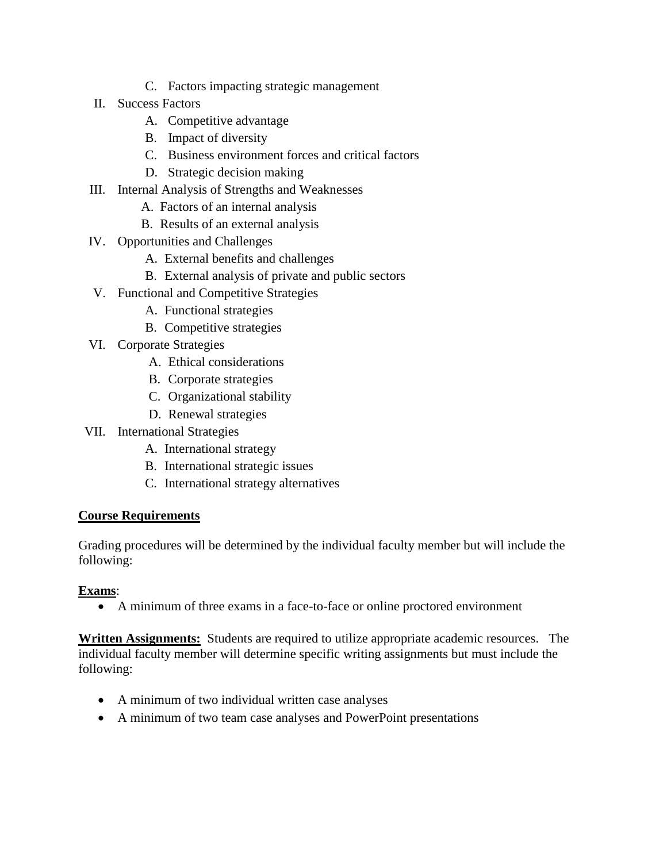- C. Factors impacting strategic management
- II. Success Factors
	- A. Competitive advantage
	- B. Impact of diversity
	- C. Business environment forces and critical factors
	- D. Strategic decision making
- III. Internal Analysis of Strengths and Weaknesses
	- A. Factors of an internal analysis
	- B. Results of an external analysis
- IV. Opportunities and Challenges
	- A. External benefits and challenges
	- B. External analysis of private and public sectors
- V. Functional and Competitive Strategies
	- A. Functional strategies
	- B. Competitive strategies
- VI. Corporate Strategies
	- A. Ethical considerations
	- B. Corporate strategies
	- C. Organizational stability
	- D. Renewal strategies
- VII. International Strategies
	- A. International strategy
	- B. International strategic issues
	- C. International strategy alternatives

#### **Course Requirements**

Grading procedures will be determined by the individual faculty member but will include the following:

#### **Exams**:

• A minimum of three exams in a face-to-face or online proctored environment

**Written Assignments:** Students are required to utilize appropriate academic resources. The individual faculty member will determine specific writing assignments but must include the following:

- A minimum of two individual written case analyses
- A minimum of two team case analyses and PowerPoint presentations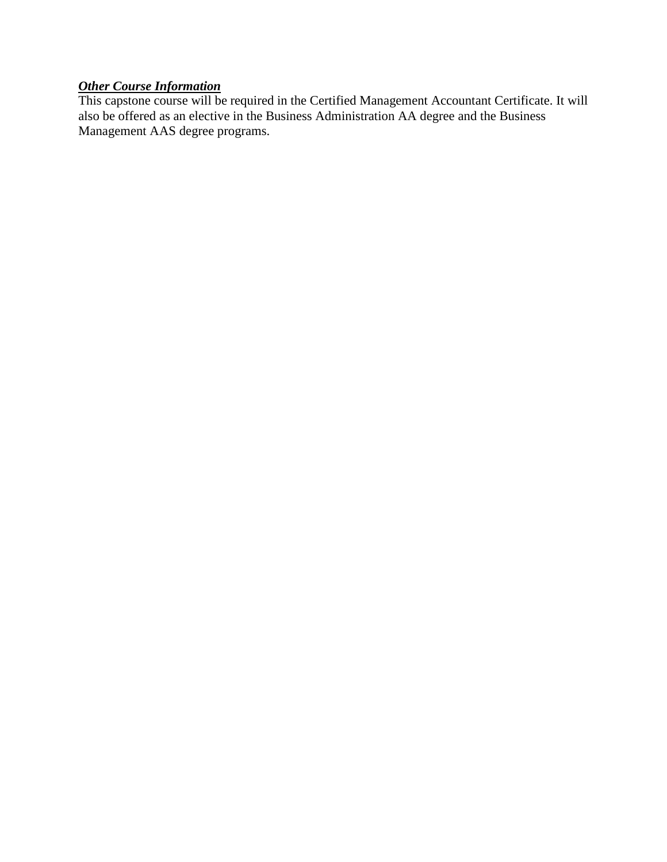#### *Other Course Information*

This capstone course will be required in the Certified Management Accountant Certificate. It will also be offered as an elective in the Business Administration AA degree and the Business Management AAS degree programs.